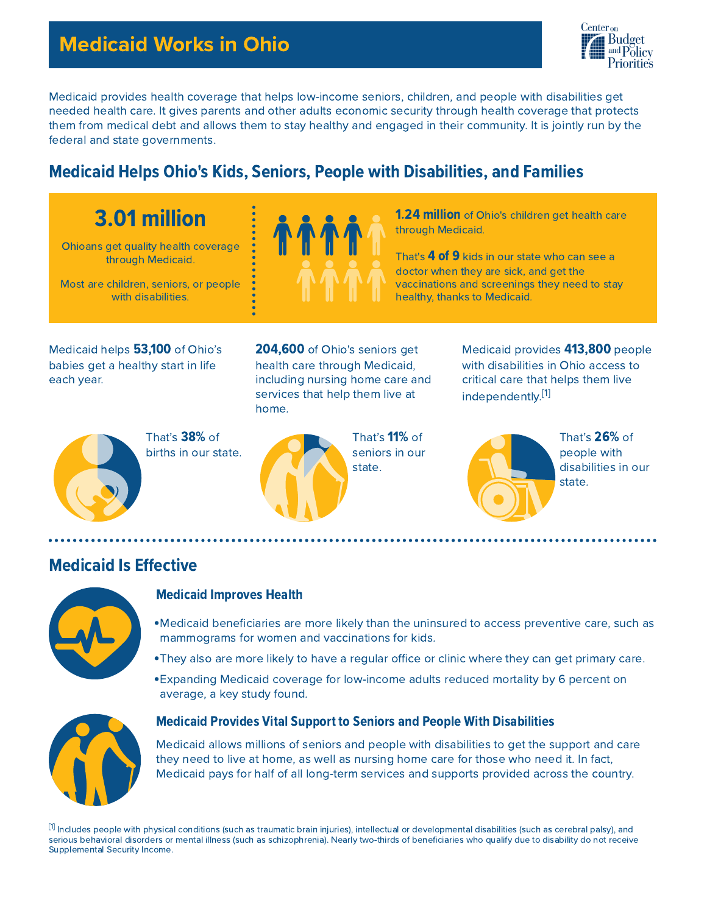# Medicaid Works in Ohio



Medicaid provides health coverage that helps low-income seniors, children, and people with disabilities get needed health care. It gives parents and other adults economic security through health coverage that protects them from medical debt and allows them to stay healthy and engaged in their community. It is jointly run by the federal and state governments.

# **Medicaid Helps Ohio's Kids, Seniors, People with Disabilities, and Families**

# 3.01 million

Ohioans get quality health coverage through Medicaid.

Most are children, seniors, or people with disabilities.



**1.24 million** of Ohio's children get health care through Medicaid.

That's **4 of 9** kids in our state who can see a doctor when they are sick, and get the vaccinations and screenings they need to stay healthy, thanks to Medicaid.

Medicaid helps 53,100 of Ohio's babies get a healthy start in life each year.

204,600 of Ohio's seniors get health care through Medicaid, including nursing home care and services that help them live at home.

That's 38% of births in our state.



That's 11% of seniors in our state.

Medicaid provides 413,800 people with disabilities in Ohio access to critical care that helps them live independently.<sup>[1]</sup>



That's 26% of people with disabilities in our state.

## **Medicaid Is Effective**



#### Medicaid Improves Health

- Medicaid beneficiaries are more likely than the uninsured to access preventive care, such as mammograms for women and vaccinations for kids.
- They also are more likely to have a regular office or clinic where they can get primary care.
- Expanding Medicaid coverage for low-income adults reduced mortality by 6 percent on average, a key study found.



#### **Medicaid Provides Vital Support to Seniors and People With Disabilities**

Medicaid allows millions of seniors and people with disabilities to get the support and care they need to live at home, as well as nursing home care for those who need it. In fact, Medicaid pays for half of all long-term services and supports provided across the country.

 $^{\lbrack 1]}$  Includes people with physical conditions (such as traumatic brain injuries), intellectual or developmental disabilities (such as cerebral palsy), and serious behavioral disorders or mental illness (such as schizophrenia). Nearly two-thirds of beneficiaries who qualify due to disability do not receive Supplemental Security Income.